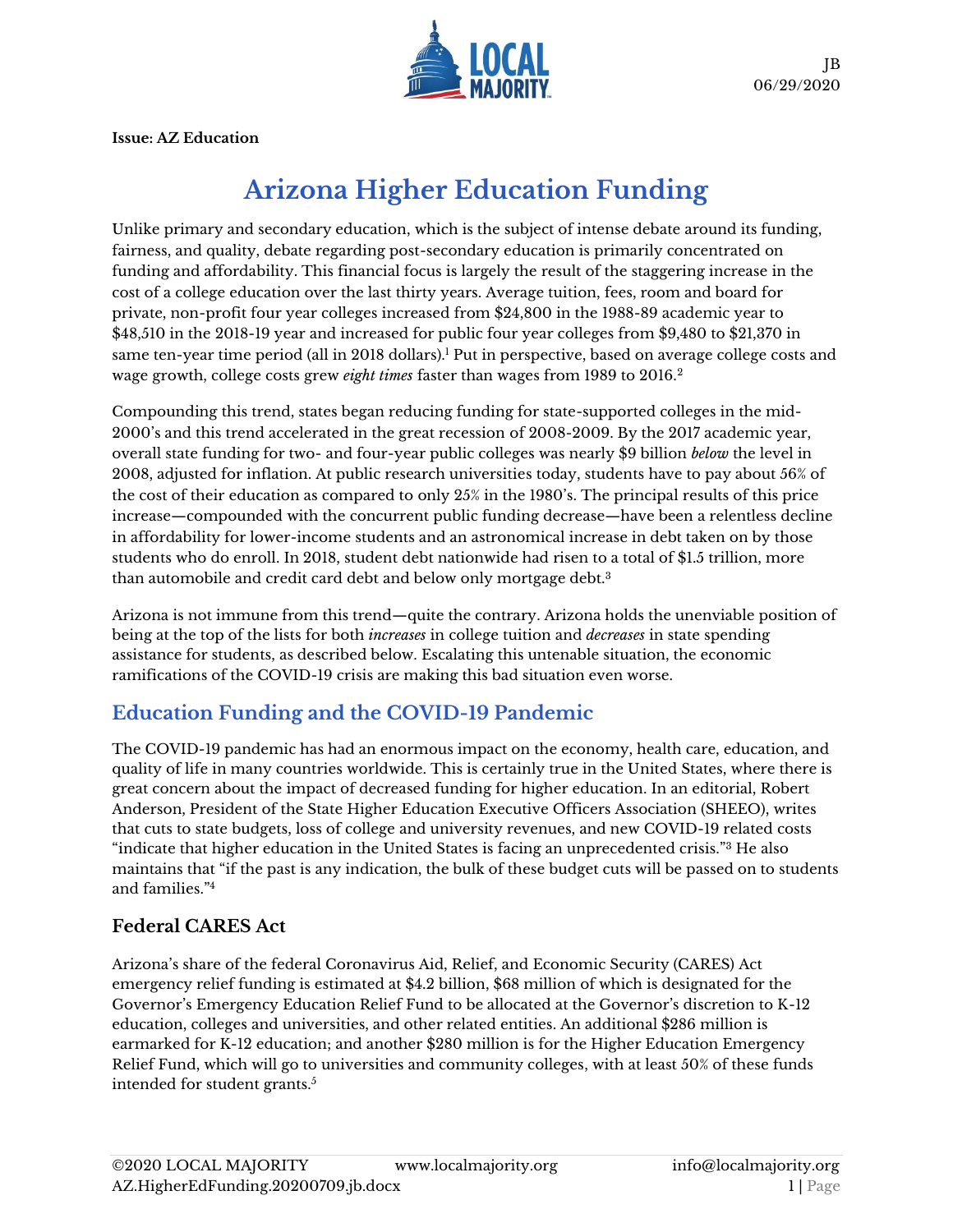

**Issue: AZ Education**

# **Arizona Higher Education Funding**

Unlike primary and secondary education, which is the subject of intense debate around its funding, fairness, and quality, debate regarding post-secondary education is primarily concentrated on funding and affordability. This financial focus is largely the result of the staggering increase in the cost of a college education over the last thirty years. Average tuition, fees, room and board for private, non-profit four year colleges increased from \$24,800 in the 1988-89 academic year to \$48,510 in the 2018-19 year and increased for public four year colleges from \$9,480 to \$21,370 in same ten-year time period (all in 2018 dollars).<sup>1</sup> Put in perspective, based on average college costs and wage growth, college costs grew *eight times* faster than wages from 1989 to 2016.<sup>2</sup>

Compounding this trend, states began reducing funding for state-supported colleges in the mid-2000's and this trend accelerated in the great recession of 2008-2009. By the 2017 academic year, overall state funding for two- and four-year public colleges was nearly \$9 billion *below* the level in 2008, adjusted for inflation. At public research universities today, students have to pay about 56% of the cost of their education as compared to only 25% in the 1980's. The principal results of this price increase—compounded with the concurrent public funding decrease—have been a relentless decline in affordability for lower-income students and an astronomical increase in debt taken on by those students who do enroll. In 2018, student debt nationwide had risen to a total of \$1.5 trillion, more than automobile and credit card debt and below only mortgage debt.<sup>3</sup>

Arizona is not immune from this trend—quite the contrary. Arizona holds the unenviable position of being at the top of the lists for both *increases* in college tuition and *decreases* in state spending assistance for students, as described below. Escalating this untenable situation, the economic ramifications of the COVID-19 crisis are making this bad situation even worse.

# **Education Funding and the COVID-19 Pandemic**

The COVID-19 pandemic has had an enormous impact on the economy, health care, education, and quality of life in many countries worldwide. This is certainly true in the United States, where there is great concern about the impact of decreased funding for higher education. In an editorial, Robert Anderson, President of the State Higher Education Executive Officers Association (SHEEO), writes that cuts to state budgets, loss of college and university revenues, and new COVID-19 related costs "indicate that higher education in the United States is facing an unprecedented crisis."<sup>3</sup> He also maintains that "if the past is any indication, the bulk of these budget cuts will be passed on to students and families."<sup>4</sup>

### **Federal CARES Act**

Arizona's share of the federal Coronavirus Aid, Relief, and Economic Security (CARES) Act emergency relief funding is estimated at \$4.2 billion, \$68 million of which is designated for the Governor's Emergency Education Relief Fund to be allocated at the Governor's discretion to K-12 education, colleges and universities, and other related entities. An additional \$286 million is earmarked for K-12 education; and another \$280 million is for the Higher Education Emergency Relief Fund, which will go to universities and community colleges, with at least 50% of these funds intended for student grants.<sup>5</sup>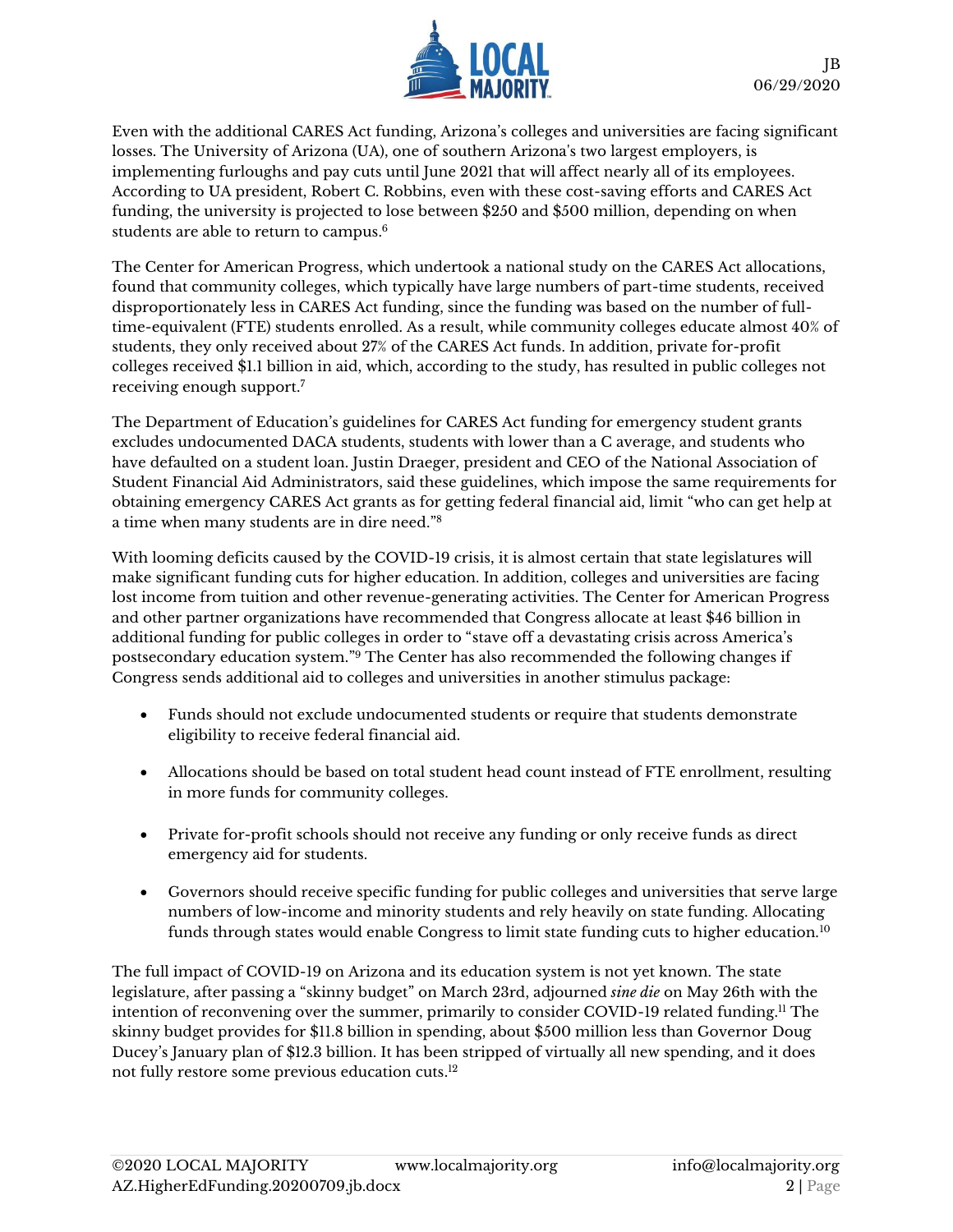

Even with the additional CARES Act funding, Arizona's colleges and universities are facing significant losses. The University of Arizona (UA), one of southern Arizona's two largest employers, is implementin[g furloughs and pay cuts](https://hr.arizona.edu/FY-2020-2021-Furlough-Program?review=RXVfaT_feJws8AmA_FelyFvtoTFB7oqeFzTeTNY258Q×tamp=1587139185) until June 2021 that will affect nearly all of its employees. According to UA president, Robert C. Robbins, even with these cost-saving efforts and CARES Act funding, the university is projected to lose between \$250 and \$500 million, depending on when students are able to return to campus. 6

The Center for American Progress, which undertook a national study on the CARES Act allocations, found that community colleges, which typically have large numbers of part-time students, received disproportionately less in CARES Act funding, since the funding was based on the number of fulltime-equivalent (FTE) students enrolled. As a result, while community colleges educate almost 40% of students, they only received about 27% of the CARES Act funds. In addition, private for-profit colleges received \$1.1 billion in aid, which, according to the study, has resulted in public colleges not receiving enough support.<sup>7</sup>

The Department of Education's guidelines for CARES Act funding for emergency student grants excludes undocumented DACA students, students with lower than a C average, and students who have defaulted on a student loan. Justin Draeger, president and CEO of the National Association of Student Financial Aid Administrators, said these guidelines, which impose the same requirements for obtaining emergency CARES Act grants as for getting federal financial aid, limit "who can get help at a time when many students are in dire need."<sup>8</sup>

With looming deficits caused by the COVID-19 crisis, it is almost certain that state legislatures will make significant funding cuts for higher education. In addition, colleges and universities are facing lost income from tuition and other revenue-generating activities. The Center for American Progress and other partner organizations have recommended that Congress allocate at least \$46 billion in additional funding for public colleges in order to "stave off a devastating crisis across America's postsecondary education system."<sup>9</sup> The Center has also recommended the following changes if Congress sends additional aid to colleges and universities in another stimulus package:

- Funds should not exclude undocumented students or require that students demonstrate eligibility to receive federal financial aid.
- Allocations should be based on total student head count instead of FTE enrollment, resulting in more funds for community colleges.
- Private for-profit schools should not receive any funding or only receive funds as direct emergency aid for students.
- Governors should receive specific funding for public colleges and universities that serve large numbers of low-income and minority students and rely heavily on state funding. Allocating funds through states would enable Congress to limit state funding cuts to higher education.<sup>10</sup>

The full impact of COVID-19 on Arizona and its education system is not yet known. The state legislature, after passing a "skinny budget" on March 23rd, adjourned *sine die* on May 26th with the intention of reconvening over the summer, primarily to consider COVID-19 related funding.<sup>11</sup> The skinny budget provides for \$11.8 billion in spending, about \$500 million less than Governor Doug Ducey's January plan of \$12.3 billion. It has been stripped of virtually all new spending, and it does not fully restore some previous education cuts. 12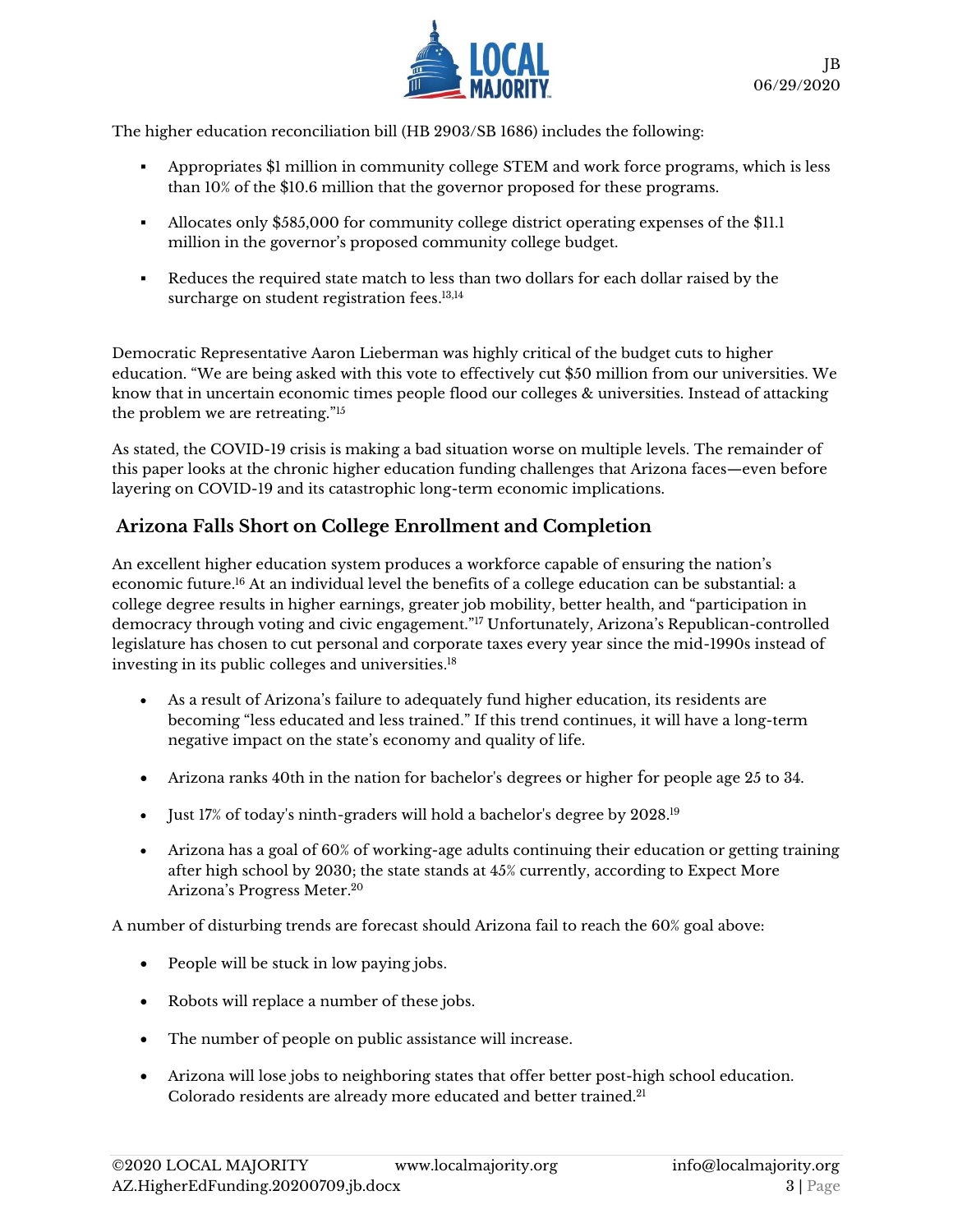

The higher education reconciliation bill (HB 2903/SB 1686) includes the following:

- Appropriates \$1 million in community college STEM and work force programs, which is less than 10% of the \$10.6 million that the governor proposed for these programs.
- Allocates only \$585,000 for community college district operating expenses of the \$11.1 million in the governor's proposed community college budget.
- Reduces the required state match to less than two dollars for each dollar raised by the surcharge on student registration fees. 13,14

Democratic Representative Aaron Lieberman was highly critical of the budget cuts to higher education. "We are being asked with this vote to effectively cut \$50 million from our universities. We know that in uncertain economic times people flood our colleges & universities. Instead of attacking the problem we are retreating."<sup>15</sup>

As stated, the COVID-19 crisis is making a bad situation worse on multiple levels. The remainder of this paper looks at the chronic higher education funding challenges that Arizona faces—even before layering on COVID-19 and its catastrophic long-term economic implications.

## **Arizona Falls Short on College Enrollment and Completion**

An excellent higher education system produces a workforce capable of ensuring the nation's economic future.<sup>16</sup> At an individual level the benefits of a college education can be substantial: a college degree results in higher earnings, greater job mobility, better health, and "participation in democracy through voting and civic engagement."<sup>17</sup> Unfortunately, Arizona's Republican-controlled legislature has chosen to cut personal and corporate taxes every year since the mid-1990s instead of investing in its public colleges and universities. 18

- As a result of Arizona's failure to adequately fund higher education, its residents are becoming "less educated and less trained." If this trend continues, it will have a long-term negative impact on the state's economy and quality of life.
- Arizona ranks 40th in the nation for bachelor's degrees or higher for people age 25 to 34.
- Just 17% of today's ninth-graders will hold a bachelor's degree by 2028. 19
- Arizona has a goal of 60% of working-age adults continuing their education or getting training after high school by 2030; the state stands at 45% currently, according to Expect More Arizona's Progress Meter. 20

A number of disturbing trends are forecast should Arizona fail to reach the 60% goal above:

- People will be stuck in low paying jobs.
- Robots will replace a number of these jobs.
- The number of people on public assistance will increase.
- Arizona will lose jobs to [neighboring states](https://www.usatoday.com/story/money/2019/07/06/jobs-gdp-unemployment-states-with-best-worst-economies/39651531/) that offer better post-high school education. [Colorado residents are already more](https://statisticalatlas.com/state/Colorado/Educational-Attainment) educated and better trained.<sup>21</sup>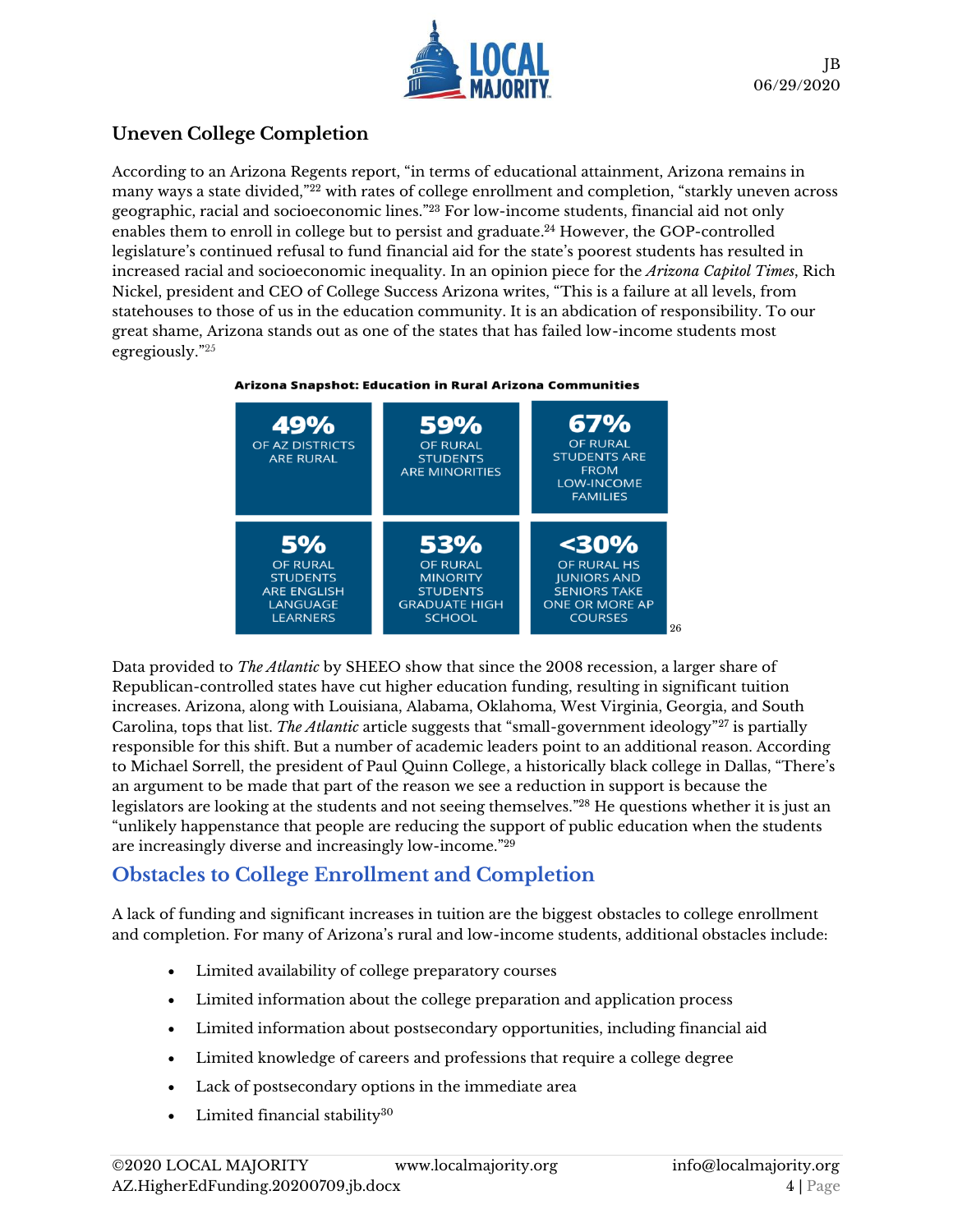

## **Uneven College Completion**

According to an Arizona Regents report, "in terms of educational attainment, Arizona remains in many ways a state divided,"<sup>22</sup> with rates of college enrollment and completion, "starkly uneven across geographic, racial and socioeconomic lines." <sup>23</sup> For low-income students, financial aid not only enables them to enroll in college but to persist and graduate. <sup>24</sup> However, the GOP-controlled legislature's continued refusal to fund financial aid for the state's poorest students has resulted in increased racial and socioeconomic inequality. In an opinion piece for the *Arizona Capitol Times*, Rich Nickel, president and CEO of College Success Arizona writes, "This is a failure at all levels, from statehouses to those of us in the education community. It is an abdication of responsibility. To our great shame, Arizona stands out as one of the states that has failed low-income students most egregiously." 25





Data provided to *The Atlantic* by SHEEO show that since the 2008 recession, a larger share of Republican-controlled states have cut higher education funding, resulting in significant tuition increases. Arizona, along with Louisiana, Alabama, Oklahoma, West Virginia, Georgia, and South Carolina, tops that list. *The Atlantic* article suggests that "small-government ideology"<sup>27</sup> is partially responsible for this shift. But a number of academic leaders point to an additional reason. According to Michael Sorrell, the [president of Paul Quinn College,](https://washingtonmonthly.com/magazine/septemberoctober-2016/labor-of-love/) a historically black college in Dallas, "There's an argument to be made that part of the reason we see a reduction in support is because the legislators are looking at the students and not seeing themselves." <sup>28</sup> He questions whether it is just an "unlikely happenstance that people are reducing the support of public education when the students are increasingly diverse and increasingly low-income."<sup>29</sup>

## **Obstacles to College Enrollment and Completion**

A lack of funding and significant increases in tuition are the biggest obstacles to college enrollment and completion. For many of Arizona's rural and low-income students, additional obstacles include:

- Limited availability of college preparatory courses
- Limited information about the college preparation and application process
- Limited information about postsecondary opportunities, including financial aid
- Limited knowledge of careers and professions that require a college degree
- Lack of postsecondary options in the immediate area
- Limited financial stability<sup>30</sup>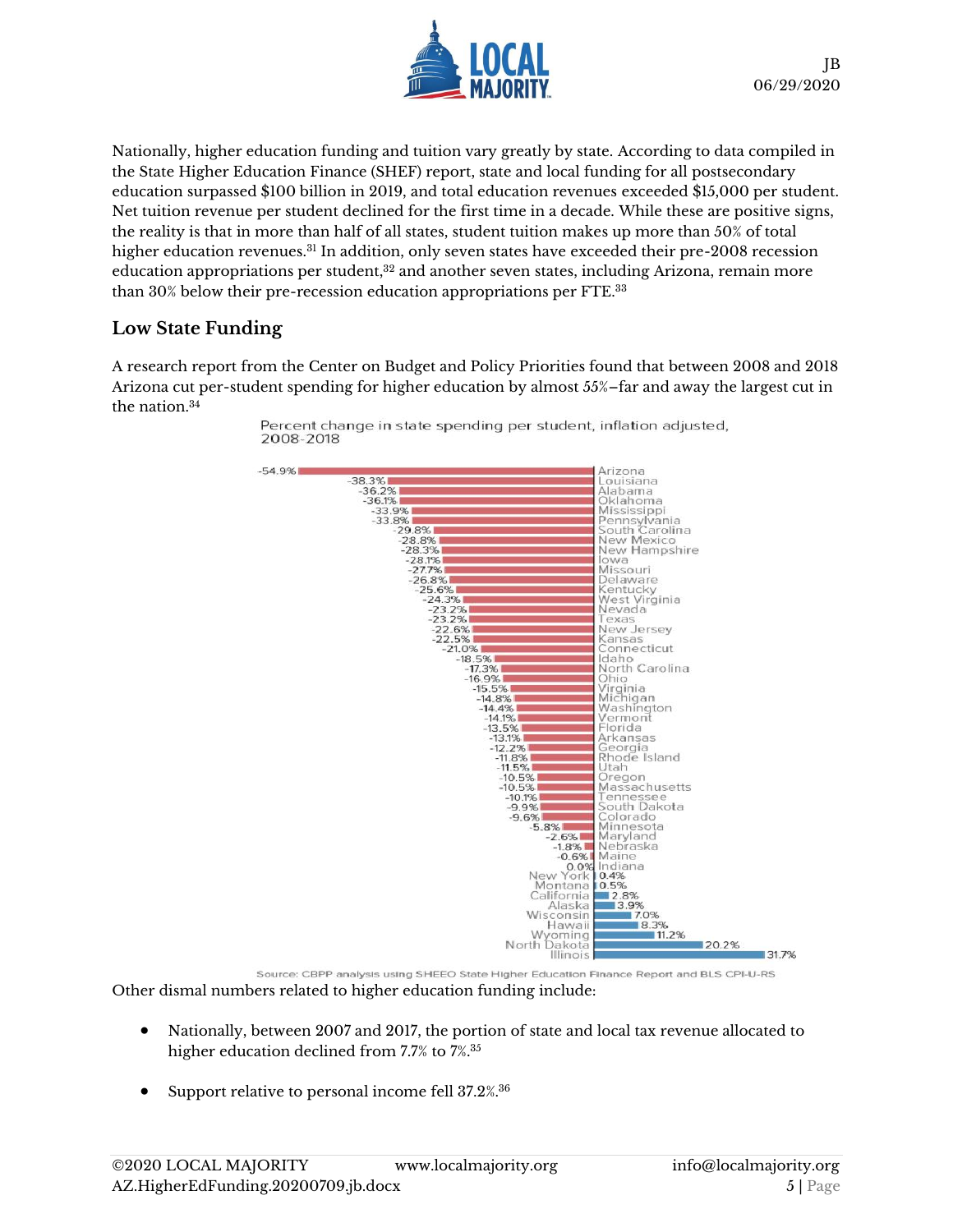

Nationally, higher education funding and tuition vary greatly by state. According to data compiled in the State Higher Education Finance (SHEF) report, state and local funding for all postsecondary education surpassed \$100 billion in 2019, and total education revenues exceeded \$15,000 per student. Net tuition revenue per student declined for the first time in a decade. While these are positive signs, the reality is that in more than half of all states, student tuition makes up more than 50% of total higher education revenues.<sup>31</sup> In addition, only seven states have exceeded their pre-2008 recession education appropriations per student, $32$  and another seven states, including Arizona, remain more than 30% below their pre-recession education appropriations per FTE. 33

#### **Low State Funding**

A research report from the Center on Budget and Policy Priorities found that between 2008 and 2018 Arizona cut per-student spending for higher education by almost 55%–far and away the largest cut in the nation. 34



Percent change in state spending per student, inflation adjusted, 2008-2018

Source: CBPP analysis using SHEEO State Higher Education Finance Report and BLS CPI-U-RS Other dismal numbers related to higher education funding include:

- Nationally, between 2007 and 2017, the portion of state and local tax revenue allocated to higher education declined from 7.7% to 7%. 35
- Support relative to personal income fell 37.2%.<sup>36</sup>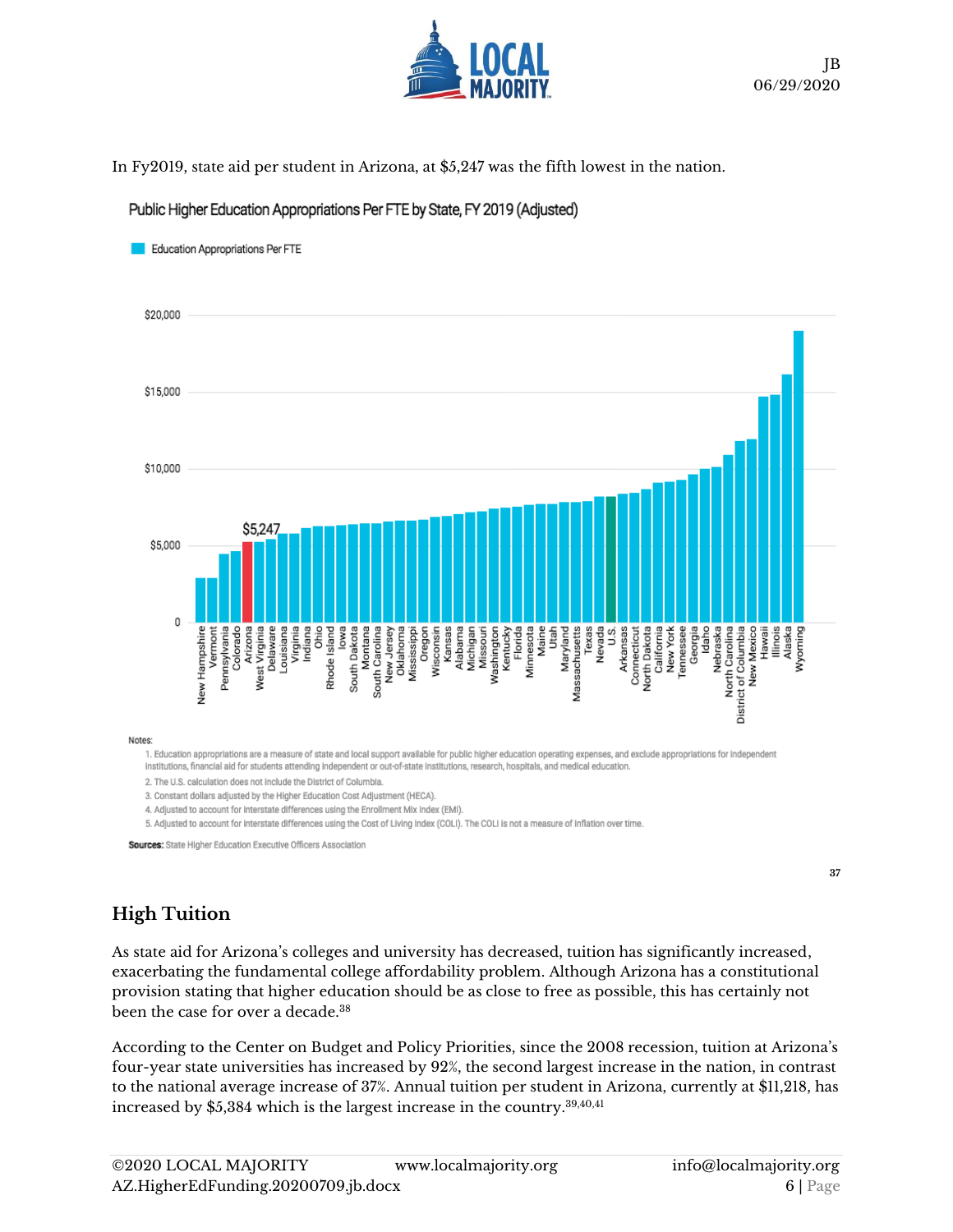

In Fy2019, state aid per student in Arizona, at \$5,247 was the fifth lowest in the nation.

Public Higher Education Appropriations Per FTE by State, FY 2019 (Adjusted)



1. Education appropriations are a measure of state and local support available for public higher education operating expenses, and exclude appropriations for independent

Institutions, financial aid for students attending independent or out-of-state institutions, research, hospitals, and medical education.

2. The U.S. calculation does not include the District of Columbia.

3. Constant dollars adjusted by the Higher Education Cost Adjustment (HECA)

4. Adjusted to account for interstate differences using the Enrollment Mix Index (EMI).

5. Adjusted to account for interstate differences using the Cost of Living Index (COLI). The COLI is not a measure of inflation over time.

Sources: State Higher Education Executive Officers Association

**37**

## **High Tuition**

As state aid for Arizona's colleges and university has decreased, tuition has significantly increased, exacerbating the fundamental college affordability problem. Although Arizona has a constitutional provision stating that higher education should be as close to free as possible, this has certainly not been the case for over a decade.<sup>38</sup>

According to the Center on Budget and Policy Priorities, since the 2008 recession, tuition at Arizona's four-year state universities has increased by 92%, the second largest increase in the nation, in contrast to the national average increase of 37%. Annual tuition per student in Arizona, currently at \$11,218, has increased by \$5,384 which is the largest increase in the country.39,40,41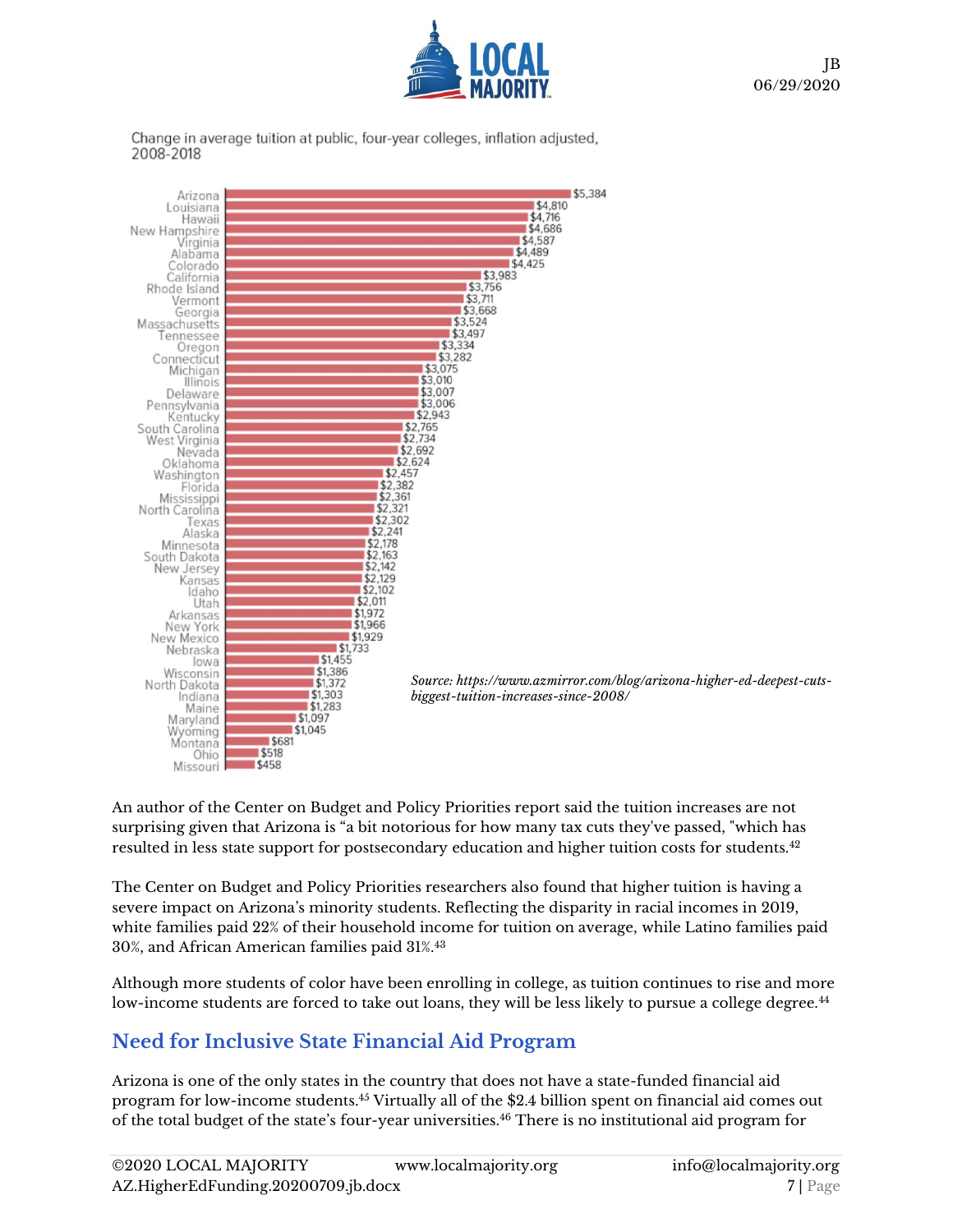

Change in average tuition at public, four-year colleges, inflation adjusted, 2008-2018



An author of the Center on Budget and Policy Priorities report said the tuition increases are not surprising given that Arizona is "a bit notorious for how many tax cuts they've passed, "which has resulted in less state support for postsecondary education and higher tuition costs for students.<sup>42</sup>

The Center on Budget and Policy Priorities researchers also found that higher tuition is having a severe impact on Arizona's minority students. Reflecting the disparity in racial incomes in 2019, white families paid 22% of their household income for tuition on average, while Latino families paid 30%, and African American families paid 31%.<sup>43</sup>

Although more students of color have been enrolling in college, as tuition continues to rise and more low-income students are forced to take out loans, they will be less likely to pursue a college degree.<sup>44</sup>

# **Need for Inclusive State Financial Aid Program**

Arizona is one of the only states in the country that does not have a state-funded financial aid program for low-income students. <sup>45</sup> Virtually all of the \$2.4 billion spent on financial aid comes out of the total budget of the state's four-year universities.<sup>46</sup> There is no institutional aid program for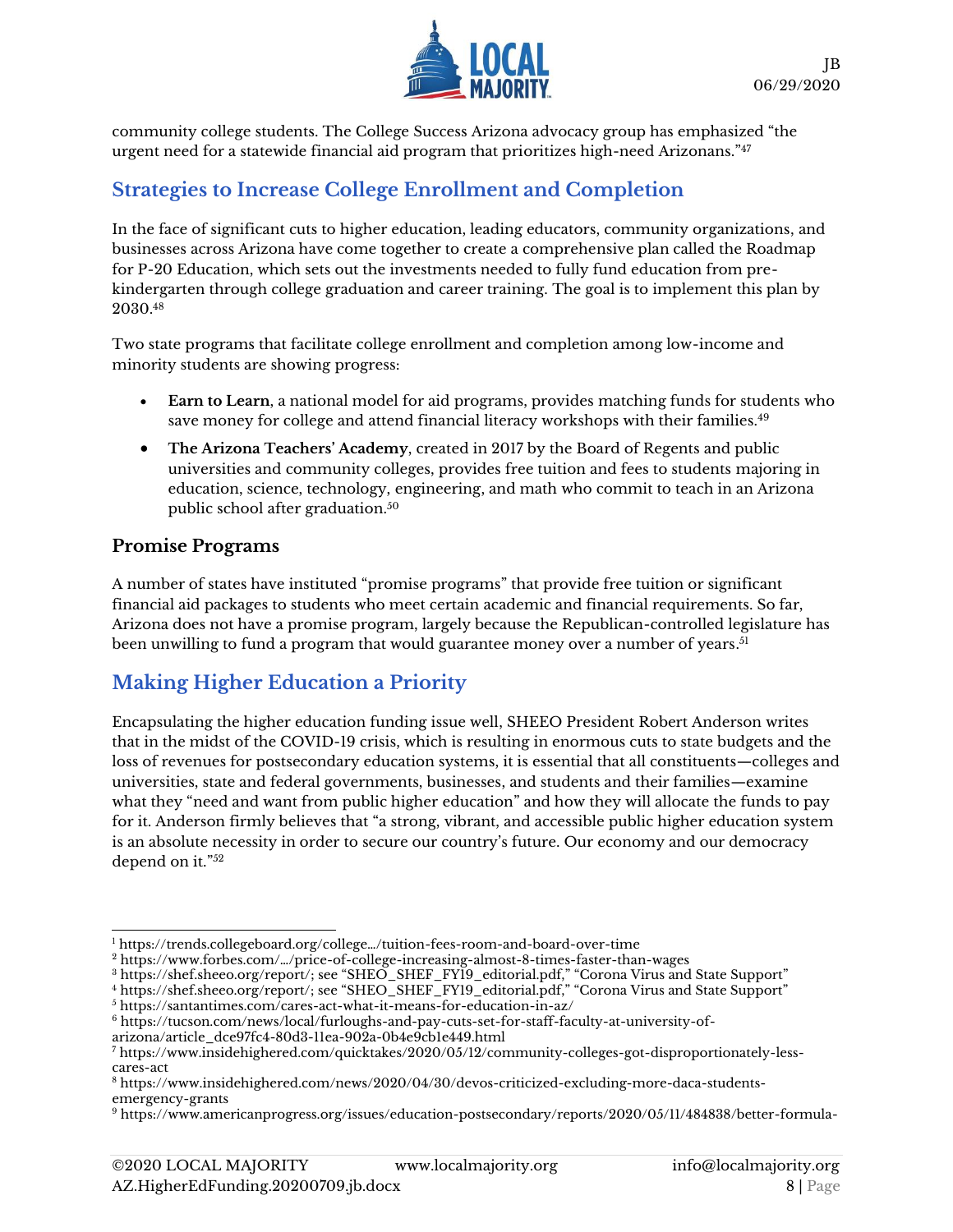

community college students. The College Success Arizona advocacy group has emphasized "the urgent need for a statewide financial aid program that prioritizes high-need Arizonans."<sup>47</sup>

# **Strategies to Increase College Enrollment and Completion**

In the face of significant cuts to higher education, leading educators, community organizations, and businesses across Arizona have come together to create a comprehensive plan called the Roadmap for P-20 Education, which sets out the investments needed to fully fund education from prekindergarten through college graduation and career training. The goal is to implement this plan by 2030.<sup>48</sup>

Two state programs that facilitate college enrollment and completion among low-income and minority students are showing progress:

- **Earn to Learn**, a national model for aid programs, provides matching funds for students who save money for college and attend financial literacy workshops with their families.<sup>49</sup>
- **The Arizona Teachers' Academy**, created in 2017 by the Board of Regents and public universities and community colleges, provides free tuition and fees to students majoring in education, science, technology, engineering, and math who commit to teach in an Arizona public school after graduation. 50

#### **Promise Programs**

A number of states have instituted "promise programs" that provide free tuition or significant financial aid packages to students who meet certain academic and financial requirements. So far, Arizona does not have a promise program, largely because the Republican-controlled legislature has been unwilling to fund a program that would guarantee money over a number of years. 51

# **Making Higher Education a Priority**

Encapsulating the higher education funding issue well, SHEEO President Robert Anderson writes that in the midst of the COVID-19 crisis, which is resulting in enormous cuts to state budgets and the loss of revenues for postsecondary education systems, it is essential that all constituents—colleges and universities, state and federal governments, businesses, and students and their families—examine what they "need and want from public higher education" and how they will allocate the funds to pay for it. Anderson firmly believes that "a strong, vibrant, and accessible public higher education system is an absolute necessity in order to secure our country's future. Our economy and our democracy depend on it."<sup>52</sup>

arizona/article\_dce97fc4-80d3-11ea-902a-0b4e9cb1e449.html

 $1$  https://trends.collegeboard.org/college…/tuition-fees-room-and-board-over-time

<sup>2</sup> https://www.forbes.com/…/price-of-college-increasing-almost-8-times-faster-than-wages

 $^3$  [https://shef.sheeo.org/report/;](https://shef.sheeo.org/report/) see "SHEO\_SHEF\_FY19\_editorial.pdf," "Corona Virus and State Support"

<sup>4</sup> <https://shef.sheeo.org/report/>; see "SHEO\_SHEF\_FY19\_editorial.pdf," "Corona Virus and State Support" <sup>5</sup> <https://santantimes.com/cares-act-what-it-means-for-education-in-az/>

<sup>6</sup> https://tucson.com/news/local/furloughs-and-pay-cuts-set-for-staff-faculty-at-university-of-

<sup>7</sup> [https://www.insidehighered.com/quicktakes/2020/05/12/community-colleges-got-disproportionately-less](https://www.insidehighered.com/quicktakes/2020/05/12/community-colleges-got-disproportionately-less-cares-act)[cares-act](https://www.insidehighered.com/quicktakes/2020/05/12/community-colleges-got-disproportionately-less-cares-act)

<sup>8</sup> [https://www.insidehighered.com/news/2020/04/30/devos-criticized-excluding-more-daca-students](https://www.insidehighered.com/news/2020/04/30/devos-criticized-excluding-more-daca-students-emergency-grants)[emergency-grants](https://www.insidehighered.com/news/2020/04/30/devos-criticized-excluding-more-daca-students-emergency-grants)

<sup>9</sup> [https://www.americanprogress.org/issues/education-postsecondary/reports/2020/05/11/484838/better-formula-](https://www.americanprogress.org/issues/education-postsecondary/reports/2020/05/11/484838/better-formula-higher-educations-federal-coronavirus-funding/)